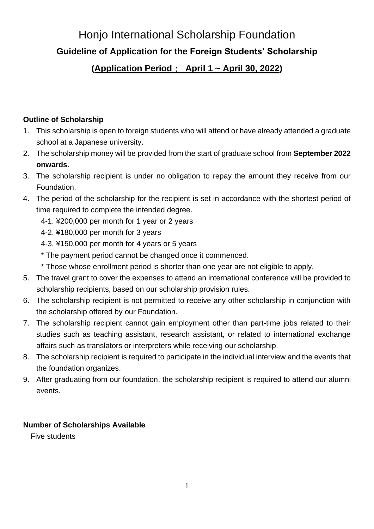# Honjo International Scholarship Foundation **Guideline of Application for the Foreign Students' Scholarship**

# **(Application Period**: **April 1 ~ April 30, 2022)**

#### **Outline of Scholarship**

- 1. This scholarship is open to foreign students who will attend or have already attended a graduate school at a Japanese university.
- 2. The scholarship money will be provided from the start of graduate school from **September 2022 onwards**.
- 3. The scholarship recipient is under no obligation to repay the amount they receive from our Foundation.
- 4. The period of the scholarship for the recipient is set in accordance with the shortest period of time required to complete the intended degree.
	- 4-1. ¥200,000 per month for 1 year or 2 years
	- 4-2. ¥180,000 per month for 3 years
	- 4-3. ¥150,000 per month for 4 years or 5 years
	- \* The payment period cannot be changed once it commenced.
	- \* Those whose enrollment period is shorter than one year are not eligible to apply.
- 5. The travel grant to cover the expenses to attend an international conference will be provided to scholarship recipients, based on our scholarship provision rules.
- 6. The scholarship recipient is not permitted to receive any other scholarship in conjunction with the scholarship offered by our Foundation.
- 7. The scholarship recipient cannot gain employment other than part-time jobs related to their studies such as teaching assistant, research assistant, or related to international exchange affairs such as translators or interpreters while receiving our scholarship.
- 8. The scholarship recipient is required to participate in the individual interview and the events that the foundation organizes.
- 9. After graduating from our foundation, the scholarship recipient is required to attend our alumni events.

# **Number of Scholarships Available**

Five students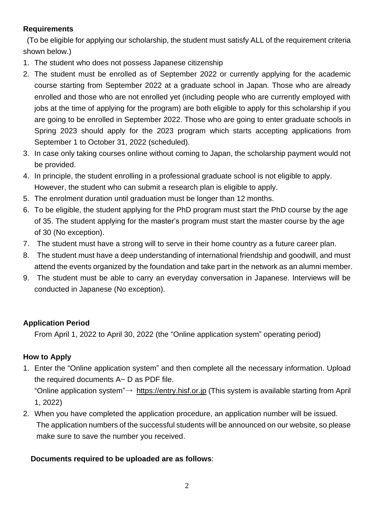# **Requirements**

(To be eligible for applying our scholarship, the student must satisfy ALL of the requirement criteria shown below.)

- 1. The student who does not possess Japanese citizenship
- 2. The student must be enrolled as of September 2022 or currently applying for the academic course starting from September 2022 at a graduate school in Japan. Those who are already enrolled and those who are not enrolled yet (including people who are currently employed with jobs at the time of applying for the program) are both eligible to apply for this scholarship if you are going to be enrolled in September 2022. Those who are going to enter graduate schools in Spring 2023 should apply for the 2023 program which starts accepting applications from September 1 to October 31, 2022 (scheduled).
- 3. In case only taking courses online without coming to Japan, the scholarship payment would not be provided.
- 4. In principle, the student enrolling in a professional graduate school is not eligible to apply. However, the student who can submit a research plan is eligible to apply.
- 5. The enrolment duration until graduation must be longer than 12 months.
- 6. To be eligible, the student applying for the PhD program must start the PhD course by the age of 35. The student applying for the master's program must start the master course by the age of 30 (No exception).
- 7. The student must have a strong will to serve in their home country as a future career plan.
- 8. The student must have a deep understanding of international friendship and goodwill, and must attend the events organized by the foundation and take part in the network as an alumni member.
- 9. The student must be able to carry an everyday conversation in Japanese. Interviews will be conducted in Japanese (No exception).

# **Application Period**

From April 1, 2022 to April 30, 2022 (the "Online application system" operating period)

# **How to Apply**

1. Enter the "Online application system" and then complete all the necessary information. Upload the required documents A~ D as PDF file.

"Online application system"→ [https://entry.hisf.or.jp](about:blank) (This system is available starting from April 1, 2022)

2. When you have completed the application procedure, an application number will be issued. The application numbers of the successful students will be announced on our website, so please make sure to save the number you received.

# **Documents required to be uploaded are as follows**: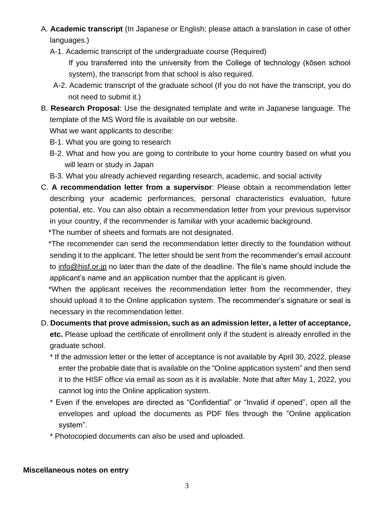- A. **Academic transcript** (In Japanese or English; please attach a translation in case of other languages.)
	- A-1. Academic transcript of the undergraduate course (Required)

If you transferred into the university from the College of technology (kōsen school system), the transcript from that school is also required.

- A-2. Academic transcript of the graduate school (If you do not have the transcript, you do not need to submit it.)
- B. **Research Proposal**: Use the designated template and write in Japanese language. The template of the MS Word file is available on our website.

What we want applicants to describe:

- B-1. What you are going to research
- B-2. What and how you are going to contribute to your home country based on what you will learn or study in Japan
- B-3. What you already achieved regarding research, academic, and social activity
- C. **A recommendation letter from a supervisor**: Please obtain a recommendation letter describing your academic performances, personal characteristics evaluation, future potential, etc. You can also obtain a recommendation letter from your previous supervisor in your country, if the recommender is familiar with your academic background. \*The number of sheets and formats are not designated.

 \*The recommender can send the recommendation letter directly to the foundation without sending it to the applicant. The letter should be sent from the recommender's email account to info@hisf.or.jp no later than the date of the deadline. The file's name should include the applicant's name and an application number that the applicant is given.

 \*When the applicant receives the recommendation letter from the recommender, they should upload it to the Online application system. The recommender's signature or seal is necessary in the recommendation letter.

- D. **Documents that prove admission, such as an admission letter, a letter of acceptance, etc.** Please upload the certificate of enrollment only if the student is already enrolled in the graduate school.
	- \* If the admission letter or the letter of acceptance is not available by April 30, 2022, please enter the probable date that is available on the "Online application system" and then send it to the HISF office via email as soon as it is available. Note that after May 1, 2022, you cannot log into the Online application system.
	- \* Even if the envelopes are directed as "Confidential" or "Invalid if opened", open all the envelopes and upload the documents as PDF files through the "Online application system".
	- \* Photocopied documents can also be used and uploaded.

#### **Miscellaneous notes on entry**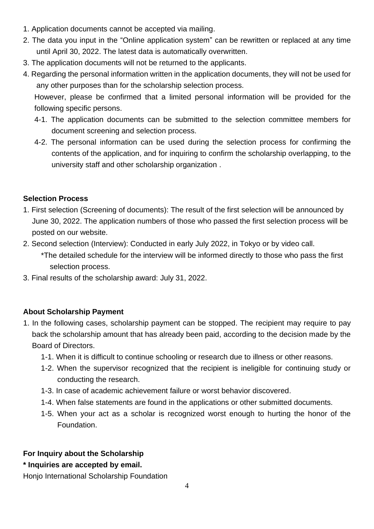- 1. Application documents cannot be accepted via mailing.
- 2. The data you input in the "Online application system" can be rewritten or replaced at any time until April 30, 2022. The latest data is automatically overwritten.
- 3. The application documents will not be returned to the applicants.
- 4. Regarding the personal information written in the application documents, they will not be used for any other purposes than for the scholarship selection process.

However, please be confirmed that a limited personal information will be provided for the following specific persons.

- 4-1. The application documents can be submitted to the selection committee members for document screening and selection process.
- 4-2. The personal information can be used during the selection process for confirming the contents of the application, and for inquiring to confirm the scholarship overlapping, to the university staff and other scholarship organization .

#### **Selection Process**

- 1. First selection (Screening of documents): The result of the first selection will be announced by June 30, 2022. The application numbers of those who passed the first selection process will be posted on our website.
- 2. Second selection (Interview): Conducted in early July 2022, in Tokyo or by video call.
	- \*The detailed schedule for the interview will be informed directly to those who pass the first selection process.
- 3. Final results of the scholarship award: July 31, 2022.

# **About Scholarship Payment**

- 1. In the following cases, scholarship payment can be stopped. The recipient may require to pay back the scholarship amount that has already been paid, according to the decision made by the Board of Directors.
	- 1-1. When it is difficult to continue schooling or research due to illness or other reasons.
	- 1-2. When the supervisor recognized that the recipient is ineligible for continuing study or conducting the research.
	- 1-3. In case of academic achievement failure or worst behavior discovered.
	- 1-4. When false statements are found in the applications or other submitted documents.
	- 1-5. When your act as a scholar is recognized worst enough to hurting the honor of the Foundation.

# **For Inquiry about the Scholarship**

# **\* Inquiries are accepted by email.**

Honjo International Scholarship Foundation